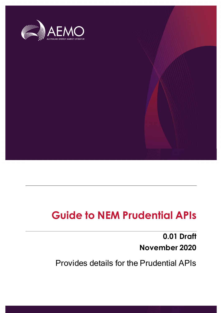

# **Guide to NEM Prudential APIs**

**0.01 Draft November 2020**

Provides details for the Prudential APIs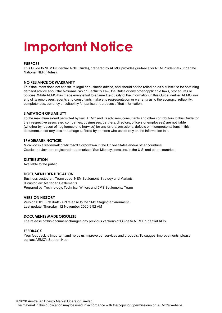# **Important Notice**

#### **PURPOSE**

This Guide to NEM Prudential APIs (Guide), prepared by AEMO, provides guidance for NEM Prudentials under the National NER (Rules).

#### **NO RELIANCE OR WARRANTY**

This document does not constitute legal or business advice, and should not be relied on as a substitute for obtaining detailed advice about the National Gas or Electricity Law, the Rules or any other applicable laws, procedures or policies. While AEMO has made every effort to ensure the quality of the information in this Guide, neither AEMO, nor any of its employees, agents and consultants make any representation or warranty as to the accuracy, reliability, completeness, currency or suitability for particular purposes of that information.

#### **LIMITATION OF LIABILITY**

To the maximum extent permitted by law, AEMO and its advisers, consultants and other contributors to this Guide (or their respective associated companies, businesses, partners, directors, officers or employees) are not liable (whether by reason of negligence or otherwise) for any errors, omissions, defects or misrepresentations in this document, or for any loss or damage suffered by persons who use or rely on the information in it.

#### **TRADEMARK NOTICES**

Microsoft is a trademark of Microsoft Corporation in the United States and/or other countries. Oracle and Java are registered trademarks of Sun Microsystems, Inc. in the U.S. and other countries.

#### **DISTRIBUTION**

Available to the public.

#### **DOCUMENT IDENTIFICATION**

Business custodian: Team Lead, NEM Settlement, Strategy and Markets IT custodian: Manager, Settlements Prepared by: Technology, Technical Writers and 5MS Settlements Team

#### **VERSION HISTORY**

Version 0.01. First draft - API release to the 5MS Staging environment.. Last update: Thursday, 12 November 2020 9:52 AM

#### **DOCUMENTS MADE OBSOLETE**

The release of this document changes any previous versions of Guide to NEM Prudential APIs.

#### **FEEDBACK**

Your feedback is important and helps us improve our services and products. To suggest improvements, please contact AEMO's Support Hub.

© 2020 Australian Energy Market Operator Limited.

The material in this publication may be used in accordance with the copyright permissions on AEMO's website.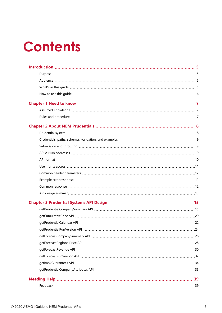# **Contents**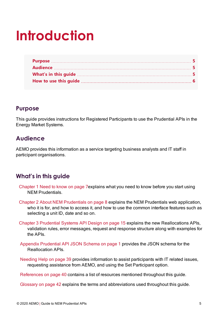# <span id="page-4-0"></span>**Introduction**

## <span id="page-4-1"></span>**Purpose**

This guide provides instructions for Registered Participants to use the Prudential APIs in the Energy Market Systems.

# <span id="page-4-2"></span>**Audience**

AEMO provides this information as a service targeting business analysts and IT staff in participant organisations.

# <span id="page-4-3"></span>**What's in this guide**

- [Chapter](#page-6-0) 1 Need to know on page 7explains what you need to know before you start using NEM Prudentials.
- Chapter 2 About NEM [Prudentials](#page-7-0) on page 8 explains the NEM Prudentials web application, who it is for, and how to access it, and how to use the common interface features such as selecting a unit ID, date and so on.
- Chapter 3 [Prudential](#page-14-0) Systems API Design on page 15 explains the new Reallocations APIs, validation rules, error messages, request and response structure along with examples for the APIs.
- Appendix Prudential API JSON Schema on page 1 provides the JSON schema for the Reallocation APIs.
- [Needing](#page-38-0) Help on page 39 provides information to assist participants with IT related issues, requesting assistance from AEMO, and using the Set Participant option.

[References](#page-39-0) on page 40 contains a list of resources mentioned throughout this guide.

[Glossary](#page-41-0) on page 42 explains the terms and abbreviations used throughout this guide.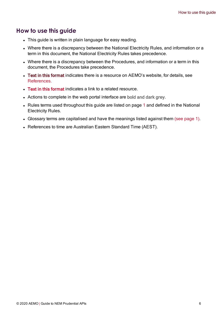## <span id="page-5-0"></span>**How to use this guide**

- This guide is written in plain language for easy reading.
- Where there is a discrepancy between the National Electricity Rules, and information or a term in this document, the National Electricity Rules takes precedence.
- Where there is a discrepancy between the Procedures, and information or a term in this document, the Procedures take precedence.
- Text in this format indicates there is a resource on AEMO's website, for details, see References.
- Text in this format indicates a link to a related resource.
- Actions to complete in the web portal interface are bold and dark grey.
- Rules terms used throughout this guide are listed on page 1 and defined in the National Electricity Rules.
- Glossary terms are capitalised and have the meanings listed against them (see page 1).
- References to time are Australian Eastern Standard Time (AEST).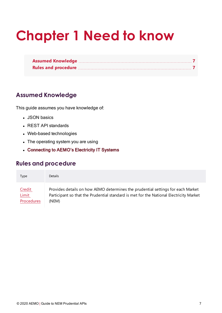# <span id="page-6-0"></span>**Chapter 1 Need to know**

# <span id="page-6-1"></span>**Assumed Knowledge**

This guide assumes you have knowledge of:

- **.** JSON basics
- REST API standards
- Web-based technologies
- The operating system you are using
- Connecting to AEMO's Electricity IT Systems

## <span id="page-6-2"></span>**Rules and procedure**

| Type         | <b>Details</b>                                                                         |
|--------------|----------------------------------------------------------------------------------------|
| Credit       | Provides details on how AEMO determines the prudential settings for each Market        |
| <b>Limit</b> | Participant so that the Prudential standard is met for the National Electricity Market |
| Procedures   | (NEM)                                                                                  |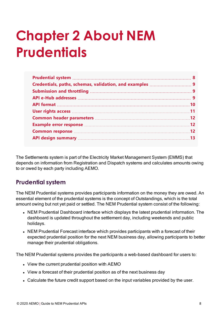# <span id="page-7-0"></span>**Chapter 2 About NEM Prudentials**

<span id="page-7-2"></span>The Settlements system is part of the Electricity Market Management System (EMMS) that depends on information from Registration and Dispatch systems and calculates amounts owing to or owed by each party including AEMO.

# <span id="page-7-1"></span>**Prudential system**

<span id="page-7-5"></span>The NEM Prudential systems provides participants information on the money they are owed. An essential element of the prudential systems is the concept of Outstandings, which is the total amount owing but not yet paid or settled. The NEM Prudential system consist of the following:

- <span id="page-7-3"></span>• NEM Prudential Dashboard interface which displays the latest prudential information. The dashboard is updated throughout the settlement day, including weekends and public holidays.
- <span id="page-7-4"></span>• NEM Prudential Forecast interface which provides participants with a forecast of their expected prudential position for the next NEM business day, allowing participants to better manage their prudential obligations.

The NEM Prudential systems provides the participants a web-based dashboard for users to:

- View the current prudential position with AEMO
- View a forecast of their prudential position as of the next business day
- Calculate the future credit support based on the input variables provided by the user.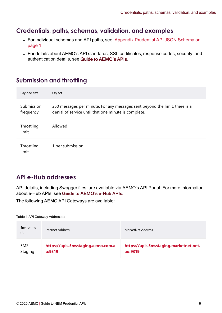## <span id="page-8-0"></span>**Credentials, paths, schemas, validation, and examples**

- For individual schemas and API paths, see Appendix Prudential API JSON Schema on page 1.
- For details about AEMO's API standards, SSL certificates, response codes, security, and authentication details, see Guide to AEMO's APIs.

# <span id="page-8-1"></span>**Submission and throttling**

<span id="page-8-3"></span>

| Payload size            | Object                                                                                                                              |
|-------------------------|-------------------------------------------------------------------------------------------------------------------------------------|
| Submission<br>frequency | 250 messages per minute. For any messages sent beyond the limit, there is a<br>denial of service until that one minute is complete. |
| Throttling<br>limit     | Allowed                                                                                                                             |
| Throttling<br>limit     | 1 per submission                                                                                                                    |

# <span id="page-8-2"></span>**API e-Hub addresses**

API details, including Swagger files, are available via AEMO's API Portal. For more information about e-Hub APIs, see Guide to AEMO's e-Hub APIs.

The following AEMO API Gateways are available:

Table 1 API Gateway Addresses

| Environme<br>nt | Internet Address                   | MarketNet Address                      |
|-----------------|------------------------------------|----------------------------------------|
| 5MS             | https://apis.5msstaging.aemo.com.a | https://apis.5msstaging.marketnet.net. |
| Staging         | u:9319                             | au:9319                                |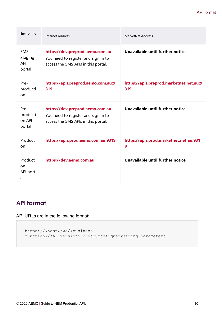| Environme<br>nt                        | Internet Address                                                                                              | MarketNet Address                              |
|----------------------------------------|---------------------------------------------------------------------------------------------------------------|------------------------------------------------|
| 5MS<br>Staging<br><b>API</b><br>portal | https://dev.preprod.aemo.com.au<br>You need to register and sign in to<br>access the 5MS APIs in this portal. | Unavailable until further notice               |
| Pre-<br>producti<br>on                 | https://apis.preprod.aemo.com.au:9<br>319                                                                     | https://apis.preprod.marketnet.net.au:9<br>319 |
| Pre-<br>producti<br>on API<br>portal   | https://dev.preprod.aemo.com.au<br>You need to register and sign in to<br>access the 5MS APIs in this portal. | Unavailable until further notice               |
| Producti<br>on                         | https://apis.prod.aemo.com.au:9319                                                                            | https://apis.prod.marketnet.net.au:931<br>9    |
| Producti<br>on<br>API port<br>al       | https://dev.aemo.com.au                                                                                       | Unavailable until further notice               |

# <span id="page-9-0"></span>**API format**

## API URLs are in the following format:

```
https://<host>/ws/<business_
function>/<APIversion>/<resource>?querystring parameters
```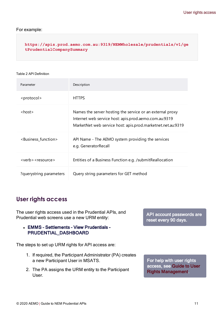### For example:

### **[https://apis.prod.aemo.com.au:9319/NEMWholesale/prudentials/v1/ge](https://apis.prod.aemo.com.au:9319/ws/NEMWholesale/reallocations/v1/submitReallocations) [tPrudentialCompanySummary](https://apis.prod.aemo.com.au:9319/ws/NEMWholesale/reallocations/v1/submitReallocations)**

#### Table 2 API Definition

| Parameter                         | Description                                                                                                                                                                       |
|-----------------------------------|-----------------------------------------------------------------------------------------------------------------------------------------------------------------------------------|
| <protocol></protocol>             | <b>HTTPS</b>                                                                                                                                                                      |
| $<$ host $>$                      | Names the server hosting the service or an external proxy<br>Internet web service host: apis.prod.aemo.com.au:9319<br>MarketNet web service host: apis.prod.marketnet.net.au:9319 |
| <business function=""></business> | API Name - The AEMO system providing the services<br>e.g. GeneratorRecall                                                                                                         |
| $<$ verb > $<$ resource >         | Entities of a Business Function e.g. /submit Reallocation                                                                                                                         |
| ?querystring parameters           | Query string parameters for GET method                                                                                                                                            |

## <span id="page-10-0"></span>**User rights access**

The user rights access used in the Prudential APIs, and Prudential web screens use a new URM entity:

### • EMMS - Settlements - View Prudentials -PRUDENTIAL\_DASHBOARD

The steps to set up URM rights for API access are:

- <span id="page-10-1"></span>1. If required, the Participant Administrator (PA) creates a new Participant User in MSATS.
- 2. The PA assigns the URM entity to the Participant User.

API account passwords are reset every 90 days.

For help with user rights access, see Guide to User Rights Management.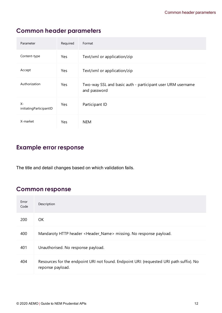# <span id="page-11-0"></span>**Common header parameters**

<span id="page-11-4"></span><span id="page-11-3"></span>

| Parameter                        | Required   | Format                                                                     |
|----------------------------------|------------|----------------------------------------------------------------------------|
| Content-type                     | <b>Yes</b> | Text/xml or application/zip                                                |
| Accept                           | Yes        | Text/xml or application/zip                                                |
| Authorization                    | Yes        | Two-way SSL and basic auth - participant user URM username<br>and password |
| $X -$<br>initiatingParticipantID | Yes        | Participant ID                                                             |
| X-market                         | Yes        | NEM                                                                        |

# <span id="page-11-7"></span><span id="page-11-6"></span><span id="page-11-1"></span>**Example error response**

The title and detail changes based on which validation fails.

# <span id="page-11-2"></span>**Common response**

<span id="page-11-5"></span>

| Error<br>Code | Description                                                                                                 |
|---------------|-------------------------------------------------------------------------------------------------------------|
| 200           | OK.                                                                                                         |
| 400           | Mandaroty HTTP header <header_name> missing. No response payload.</header_name>                             |
| 401           | Unauthorised. No response payload.                                                                          |
| 404           | Resources for the endpoint URI not found. Endpoint URI: {requested URI path suffix}. No<br>reponse payload. |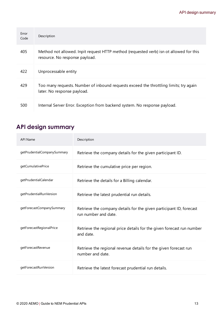| Error<br>Code | Description                                                                                                              |
|---------------|--------------------------------------------------------------------------------------------------------------------------|
| 405           | Method not allowed. Inpit request HTTP method {requested verb} isn ot allowed for this<br>resource. No response payload. |
| 422           | Unprocessable entity                                                                                                     |
| 429           | Too many requests. Number of inbound requests exceed the throttling limits; try again<br>later. No response payload.     |
| 500           | Internal Server Error. Exception from backend system. No response payload.                                               |

# <span id="page-12-0"></span>**API design summary**

| <b>API Name</b>             | Description                                                                                 |
|-----------------------------|---------------------------------------------------------------------------------------------|
| getPrudentialCompanySummary | Retrieve the company details for the given participant ID.                                  |
| getCumulativePrice          | Retrieve the cumulative price per region.                                                   |
| getPrudentialCalendar       | Retrieve the details for a Billing calendar.                                                |
| getPrudentialRunVersion     | Retrieve the latest prudential run details.                                                 |
| getForecastCompanySummary   | Retrieve the company details for the given participant ID, forecast<br>run number and date. |
| getForecastRegionalPrice    | Retrieve the regional price details for the given forecast run number<br>and date.          |
| getForecastRevenue          | Retrieve the regional revenue details for the given forecast run<br>number and date.        |
| getForecastRunVersion       | Retrieve the latest forecast prudential run details.                                        |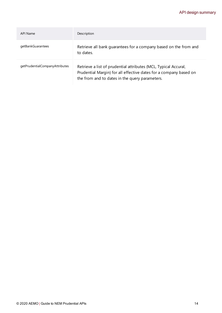## API design summary

| API Name                       | Description                                                                                                                                                                            |
|--------------------------------|----------------------------------------------------------------------------------------------------------------------------------------------------------------------------------------|
| getBankGuarantees              | Retrieve all bank quarantees for a company based on the from and<br>to dates.                                                                                                          |
| getPrudentialCompanyAttributes | Retrieve a list of prudential attributes (MCL, Typical Accural,<br>Prudential Margin) for all effective dates for a company based on<br>the from and to dates in the query parameters. |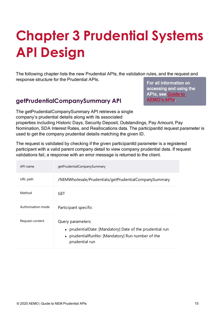# <span id="page-14-0"></span>**Chapter 3 Prudential Systems API Design**

The following chapter lists the new Prudential APIs, the validation rules, and the request and response structure for the Prudential APIs.

## <span id="page-14-1"></span>**getPrudentialCompanySummary API**

For all information on accessing and using the APIs, see [Guide](https://www.aemo.com.au/-/media/Files/Electricity/NEM/IT-Systems-and-Change/2018/Guide-to-AEMOs-eHub-APIs.pdf) to [AEMO's](https://www.aemo.com.au/-/media/Files/Electricity/NEM/IT-Systems-and-Change/2018/Guide-to-AEMOs-eHub-APIs.pdf) APIs.

The getPrudentialCompanySummary API retrieves a single company's prudential details along with its associated

properties including Historic Days, Security Deposit, Outstandings, Pay Amount, Pay Nomination, SDA Interest Rates, and Reallocations data. The participantId request parameter is used to get the company prudential details matching the given ID.

The request is validated by checking if the given participantid parameter is a registered participant with a valid parent company detail to view company prudential data. If request validations fail, a response with an error message is returned to the client.

<span id="page-14-3"></span><span id="page-14-2"></span>

| API name           | getPrudentialCompanySummary                                                                                                                         |
|--------------------|-----------------------------------------------------------------------------------------------------------------------------------------------------|
| URL path           | /NEMWholesale/Prudentials/getPrudentialCompanySummary                                                                                               |
| Method             | GET                                                                                                                                                 |
| Authorisation mode | Participant specific                                                                                                                                |
| Request content    | Query parameters:<br>• prudentialDate: [Mandatory] Date of the prudential run<br>• prudentialRunNo: [Mandatory] Run number of the<br>prudential run |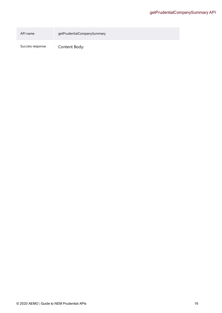| API name         | getPrudentialCompanySummary |
|------------------|-----------------------------|
| Success response | Content Body:               |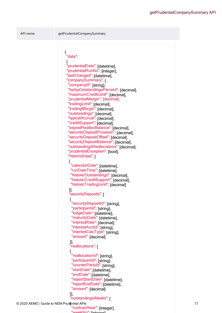API name getPrudentialCompanySummary

{ "data": { "prudentialDate": [datetime], "prudentialRunNo": [integer], "lastChanged": [datetime], "companySummary": { "companyId": [string], "todayOutstandingsPercent": [decimal], "maximumCreditLimit": [decimal], "prudentialMargin": [decimal], "tradingLimit": [decimal], "tradingMargin": [decimal], "outstandings": [decimal], "typicalAccrual": [decimal], "creditSupport": [decimal], "expostReallocBalance": [decimal], "securityDepositProvision": [decimal], "securityDepositOffset": [decimal], "securityDepositBalance": [decimal], "outstandingsReallocations": [decimal], "prudentialException": [bool], "historicDays": [ { "calendarDate": [datetime], "runDateTime": [datetime], "historicOutstandings": [decimal], "historicCreditSupport": [decimal], "historicTradingLimit": [decimal] }], "securityDeposits": [ { "securityDepositId": [string], "participantId": [string], "lodgeDate": [datetime], "maturityDate": [datetime], "interestRate": [decimal], "interestAcctId": [string], "interestCalcType": [string], "amount": [decimal] }], "reallocations": [ { "reallocationId": [string], "participantId" [string], "counterPartyId": [string], "startDate": [datetime], "endDate": [datetime], "reportStartDate": [datetime], "reportEndDate": [datetime], "amount": [decimal] }], "outstandingsWeeks": [ © 2020 AEMO | Guide to NEM Prudential APIs 17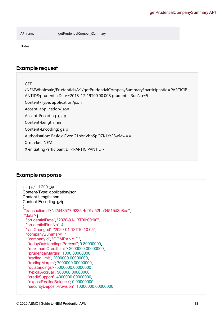API name getPrudentialCompanySummary

Notes

## **Example request**

GET

/NEMWholesale/Prudentials/v1/getPrudentialCompanySummary?participantId=PARTICIP ANTID&prudentialDate=2018-12-19T00:00:00&prudentialRunNo=5 Content-Type: application/json Accept: application/json Accept-Encoding: gzip Content-Length: nnn Content-Encoding: gzip Authorisation: Basic dGVzdG1hbnVhbSpOZK1tY28wMw== X-market: NEM X-initiatingParticipantID: <PARTICIPANTID>

## **Example response**

HTTP/1.1 200 OK Content-Type: application/json Content-Length: nnn Content-Encoding: gzip { "transactionId": "d2d48577-9235-4e0f-a52f-a34515d3b8ea", "data": { "prudentialDate": "2020-01-13T00:00:00", "prudentialRunNo": 4, "lastChanged": "2020-01-13T10:10:05", "companySummary": { "companyId": "COMPANYID", "todayOutstandingsPercent": 0.80000000, "maximumCreditLimit": 2000000.00000000, "prudentialMargin": 1000.00000000, "tradingLimit": 2000000.00000000, "tradingMargin": 7000000.00000000, "outstandings": -5000000.00000000, "typicalAccrual": 900000.00000000, "creditSupport": 4000000.00000000, "expostReallocBalance": 0.00000000, "securityDepositProvision": 10000000.00000000,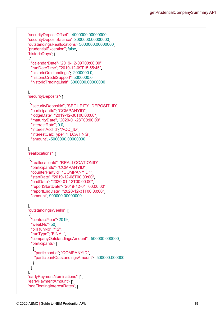```
"securityDepositOffset": -4000000.00000000,
  "securityDepositBalance": 8000000.00000000,
  "outstandingsReallocations": 5000000.00000000,
  "prudentialException": false,
  "historicDays":
   {
    "calendarDate": "2019-12-09T00:00:00",
    "runDateTime": "2019-12-09T15:55:45",
    "historicOutstandings": -2000000.0,
    "historicCreditSupport": 5000000.0,
    "historicTradingLimit": 3000000.00000000
      ],
  "securityDeposits": [
   {
    "securityDepositId": "SECURITY_DEPOSIT_ID",
    "participantId": "COMPANYID",
    "lodgeDate": "2019-12-30T00:00:00",
    "maturityDate": "2020-01-28T00:00:00",
    "interestRate": 0.0,
    "interestAcctId" "ACC_ID",
    "interestCalcType": "FLOATING",
    "amount": -5000000.00000000
      ],
  "reallocations" [
   {
    "reallocationId": "REALLOCATIONID",
    "participantId" "COMPANYID"
    "counterPartyId" "COMPANYID1"
    "startDate": "2019-12-08T00:00:00",
    "endDate": "2020-01-12T00:00:00",
    "reportStartDate": "2019-12-01T00:00:00",
    "reportEndDate": "2020-12-31T00:00:00",
    "amount": 900000.00000000
      ],
  "outstandingsWeeks" [
   {
    "contractYear": 2019,
    "weekNo": 50,
    "billRunNo" "12"
    "runType": "FINAL"
    "companyOutstandingsAmount": -500000.000000,
    "participants" |
     {
      "participantId": "COMPANYID",
      "participantOutstandingsAmount": -500000.000000
                 }
              ]
      ],
  "earlyPaymentNominations": [],
  "earlyPaymentAmount": [],
  "sdaFloatingInterestRates": [
```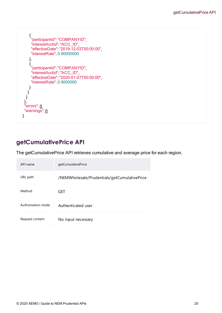{ "participantId": "COMPANYID", "interestAcctId": "ACC\_ID", "effectiveDate": "2019-12-03T00:00:00", "interestRate": 0.90000000 }, { "participantId": "COMPANYID", "interestAcctId": "ACC\_ID", "effectiveDate": "2020-01-07T00:00:00", "interestRate": 0.9000000 } ] } }, "errors": [], "warnings": [] }

# <span id="page-19-0"></span>**getCumulativePrice API**

The getCumulativePrice API retrieves cumulative and average price for each region.

| API name           | getCumulativePrice                           |
|--------------------|----------------------------------------------|
| URL path           | /NEMWholesale/Prudentials/getCumulativePrice |
| Method             | GET                                          |
| Authorisation mode | Authenticated user                           |
| Request content    | No input necessary                           |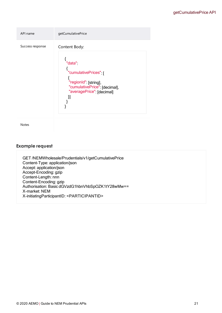| API name         | getCumulativePrice                                                                                                                    |
|------------------|---------------------------------------------------------------------------------------------------------------------------------------|
| Success response | Content Body:<br>"data"<br>"cumulativePrices"  <br>"regionId": [string],<br>"cumulativePrice": [decimal],<br>"averagePrice" [decimal] |

Notes

### **Example request**

GET /NEMWholesale/Prudentials/v1/getCumulativePrice Content-Type: application/json Accept: application/json Accept-Encoding: gzip Content-Length: nnn Content-Encoding: gzip Authorisation: Basic dGVzdG1hbnVhbSpOZK1tY28wMw== X-market: NEM X-initiatingParticipantID: <PARTICIPANTID>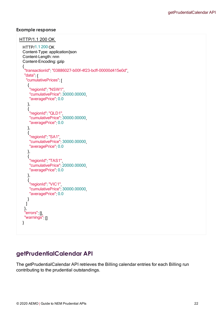### **Example response**

```
HTTP/1.1 200 OK
  HTTP/1.1 200 OK 
  Content-Type: application/json 
  Content-Length: nnn 
  Content-Encoding: gzip 
  {
   "transactionId": "03886027-b00f-4f23-bcff-00000d415e0d",
  "data" {
    "cumulativePrices": [
     {
      "regionId": "NSW1",
      "cumulativePrice": 30000.00000,
      "averagePrice": 0.0
           },
     {
      "regionId": "QLD1",
      "cumulativePrice": 30000.00000,
      "averagePrice": 0.0
           },
     {
      "regionId": "SA1",
      "cumulativePrice": 30000.00000,
      "averagePrice": 0.0
          },
     {
      "regionId": "TAS1",
      "cumulativePrice": 20000.00000,
      "averagePrice": 0.0
           },
     {
      "regionId": "VIC1",
      "cumulativePrice": 30000.00000,
      "averagePrice": 0.0
          }
       ]
    },
   "errors": [],
   "warnings": []
 }
```
## <span id="page-21-0"></span>**getPrudentialCalendar API**

The getPrudentialCalendar API retrieves the Billing calendar entries for each Billing run contributing to the prudential outstandings.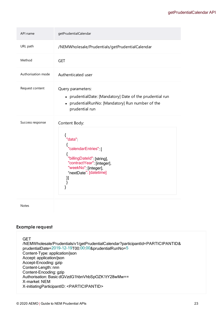| API name           | getPrudentialCalendar                                                                                                                                                       |
|--------------------|-----------------------------------------------------------------------------------------------------------------------------------------------------------------------------|
| URL path           | /NEMWholesale/Prudentials/getPrudentialCalendar                                                                                                                             |
| Method             | <b>GET</b>                                                                                                                                                                  |
| Authorisation mode | Authenticated user                                                                                                                                                          |
| Request content    | Query parameters:<br>• prudentialDate: [Mandatory] Date of the prudential run<br>prudentialRunNo: [Mandatory] Run number of the<br>$\bullet$<br>prudential run              |
| Success response   | Content Body:<br>{<br>"data"<br>"calendarEntries" [<br>"billingDateId": [string],<br>"contractYear" [integer],<br>"weekNo": [integer],<br>"nextDate": [datetime]<br>}]<br>} |
| <b>Notes</b>       |                                                                                                                                                                             |

## **Example request**

**GET** /NEMWholesale/Prudentials/v1/getPrudentialCalendar?participantId=PARTICIPANTID& prudentialDate=2019-12-19T00:00:00&prudentialRunNo=5 Content-Type: application/json Accept: application/json Accept-Encoding: gzip Content-Length: nnn Content-Encoding: gzip Authorisation: Basic dGVzdG1hbnVhbSpOZK1tY28wMw== X-market: NEM X-initiatingParticipantID: <PARTICIPANTID>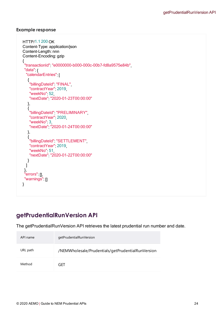### **Example response**

```
HTTP/1.1 200 OK 
Content-Type: application/json 
Content-Length: nnn 
Content-Encoding: gzip 
{
 "transactionId": "e0000000-b000-000c-00b7-fd8a9575e84b",
 "data" {
  "calendarEntries":
   {
    "billingDateId": "FINAL",
    "contractYear" 2019
    "weekNo": 52,
    "nextDate": "2020-01-23T00:00:00"
        },
   {
    "billingDateId": "PRELIMINARY",
    "contractYear": 2020,
    "weekNo" 3
    "nextDate": "2020-01-24T00:00:00"
         },
   {
    "billingDateId": "SETTLEMENT",
    "contractYear": 2019,
    "weekNo" 51,
   "nextDate": "2020-01-22T00:00:00"
        }
     ]
  },
 "errors": [],
 "warnings": []
}
```
# <span id="page-23-0"></span>**getPrudentialRunVersion API**

The getPrudentialRunVersion API retrieves the latest prudential run number and date.

| API name | getPrudentialRunVersion                           |
|----------|---------------------------------------------------|
| URL path | /NEMWholesale/Prudentials/getPrudentialRunVersion |
| Method   | GFT                                               |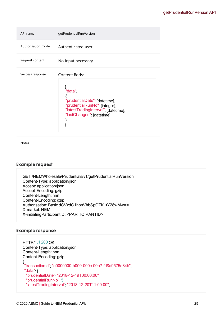| API name           | getPrudentialRunVersion                                                                                                                                            |
|--------------------|--------------------------------------------------------------------------------------------------------------------------------------------------------------------|
| Authorisation mode | Authenticated user                                                                                                                                                 |
| Request content    | No input necessary                                                                                                                                                 |
| Success response   | Content Body:<br>"data"<br>1<br>"prudentialDate": [datetime],<br>"prudentialRunNo": [integer],<br>"latestTradingInterval": [datetime],<br>"lastChanged" [datetime] |

Notes

### **Example request**

GET /NEMWholesale/Prudentials/v1/getPrudentialRunVersion Content-Type: application/json Accept: application/json Accept-Encoding: gzip Content-Length: nnn Content-Encoding: gzip Authorisation: Basic dGVzdG1hbnVhbSpOZK1tY28wMw== X-market: NEM X-initiatingParticipantID: <PARTICIPANTID>

### **Example response**

```
HTTP/1.1 200 OK 
Content-Type: application/json 
Content-Length: nnn 
Content-Encoding: gzip 
{
 "transactionId": "e0000000-b000-000c-00b7-fd8a9575e84b",
 "data": {
 "prudentialDate": "2018-12-19T00:00:00",
  "prudentialRunNo": 5,
  "latestTradingInterval": "2018-12-20T11:00:00",
```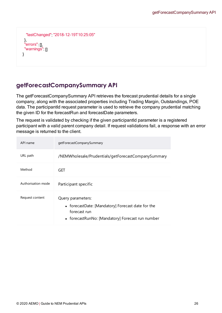```
"lastChanged": "2018-12-19T10:25:05"
  },
 "errors": [],
 "warnings": []
}
```
# <span id="page-25-0"></span>**getForecastCompanySummary API**

<span id="page-25-1"></span>The getForecastCompanySummary API retrieves the forecast prudential details for a single company, along with the associated properties including Trading Margin, Outstandings, POE data. The participantId request parameter is used to retrieve the company prudential matching the given ID for the forecastRun and forecastDate parameters.

The request is validated by checking if the given participantid parameter is a registered participant with a valid parent company detail. If request validations fail, a response with an error message is returned to the client.

| API name           | getForecastCompanySummary                                                                                                                  |
|--------------------|--------------------------------------------------------------------------------------------------------------------------------------------|
| URL path           | /NEMWholesale/Prudentials/getForecastCompanySummary                                                                                        |
| Method             | GET                                                                                                                                        |
| Authorisation mode | Participant specific                                                                                                                       |
| Request content    | Query parameters:<br>• forecastDate: [Mandatory] Forecast date for the<br>forecast run<br>• forecastRunNo: [Mandatory] Forecast run number |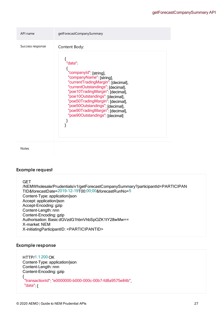| API name         | getForecastCompanySummary                                                                                                                                                                                                                                                                                                                                                 |
|------------------|---------------------------------------------------------------------------------------------------------------------------------------------------------------------------------------------------------------------------------------------------------------------------------------------------------------------------------------------------------------------------|
| Success response | Content Body:<br>"data"<br>"companyld" [string],<br>"companyName": [string],<br>"currentTradingMargin" [decimal],<br>"currentOutstandings": [decimal],<br>"poe10TradingMargin" [decimal],<br>"poe10Outstandings": [decimal],<br>"poe50TradingMargin": [decimal],<br>"poe50Outstandings": [decimal],<br>"poe90TradingMargin": [decimal],<br>"poe90Outstandings": [decimal] |
|                  |                                                                                                                                                                                                                                                                                                                                                                           |

Notes

### **Example request**

**GET** /NEMWholesale/Prudentials/v1/getForecastCompanySummary?participantId=PARTICIPAN TID&forecastDate=2019-12-19T00:00:00&forecastRunNo=5 Content-Type: application/json Accept: application/json Accept-Encoding: gzip Content-Length: nnn Content-Encoding: gzip Authorisation: Basic dGVzdG1hbnVhbSpOZK1tY28wMw== X-market: NEM X-initiatingParticipantID: <PARTICIPANTID>

### **Example response**

```
HTTP/1.1 200 OK 
Content-Type: application/json 
Content-Length: nnn 
Content-Encoding: gzip 
{
 "transactionId": "e0000000-b000-000c-00b7-fd8a9575e84b",
 "data": {
```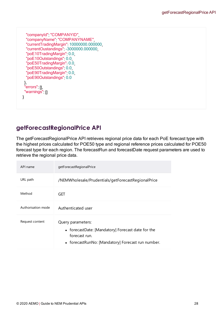```
"companyId": "COMPANYID",
 "companyName": "COMPANYNAME",
 "currentTradingMargin": 10000000.000000,
 "currentOustandings": -3000000.000000,
 "poE10TradingMargin": 0.0,
 "poE10Outstandings": 0.0,
 "poE50TradingMargin": 0.0,
 "poE50Outstandings": 0.0,
 "poE90TradingMargin": 0.0,
 "poE90Outstandings": 0.0
  },
 "errors": [],
 "warnings": []
}
```
# <span id="page-27-0"></span>**getForecastRegionalPrice API**

The getForecastRegionalPrice API retrieves regional price data for each PoE forecast type with the highest prices calculated for POE50 type and regional reference prices calculated for POE50 forecast type for each region. The forecastRun and forecastDate request parameters are used to retrieve the regional price data.

| API name           | getForecastRegionalPrice                                                                                                                     |
|--------------------|----------------------------------------------------------------------------------------------------------------------------------------------|
| URL path           | /NEMWholesale/Prudentials/getForecastRegionalPrice                                                                                           |
| Method             | GET                                                                                                                                          |
| Authorisation mode | Authenticated user                                                                                                                           |
| Request content    | Query parameters:<br>• forecastDate: [Mandatory] Forecast date for the<br>forecast run.<br>• forecastRunNo: [Mandatory] Forecast run number. |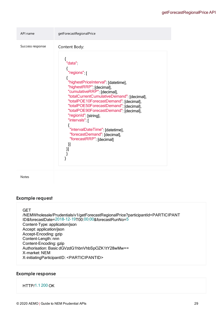| API name         | getForecastRegionalPrice                                                                                                                                                                                                                                                                                                                                                                                                                                                                           |
|------------------|----------------------------------------------------------------------------------------------------------------------------------------------------------------------------------------------------------------------------------------------------------------------------------------------------------------------------------------------------------------------------------------------------------------------------------------------------------------------------------------------------|
| Success response | Content Body:<br>"data"<br>$\left\{ \right.$ "regions" $\left. \right[$<br>"highestPriceInterval": [datetime],<br>"highestRRP" [decimal],<br>"cumulativeRRP": [decimal],<br>"totalCurrentCumulativeDemand": [decimal],<br>"totalPOE10ForecastDemand": [decimal],<br>"totalPOE50ForecastDemand" [decimal],<br>"totalPOE90ForecastDemand": [decimal],<br>"regionId": [string],<br>"intervals"  <br>"intervalDateTime": [datetime],<br>"forecastDemand": [decimal],<br>"forecastRRP": [decimal]<br>}] |

Notes

### **Example request**

### **GET**

/NEMWholesale/Prudentials/v1/getForecastRegionalPrice?participantId=PARTICIPANT ID&forecastDate=2018-12-19T00:00:00&forecastRunNo=5 Content-Type: application/json Accept: application/json Accept-Encoding: gzip Content-Length: nnn Content-Encoding: gzip Authorisation: Basic dGVzdG1hbnVhbSpOZK1tY28wMw== X-market: NEM X-initiatingParticipantID: <PARTICIPANTID>

### **Example response**

### HTTP/1.1 200 OK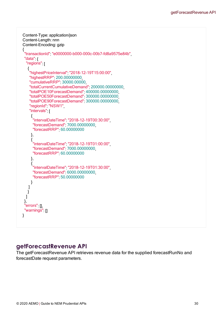```
Content-Type: application/json 
Content-Length: nnn 
Content-Encoding: gzip 
{
 "transactionId": "e0000000-b000-000c-00b7-fd8a9575e84b",
 "data": {
  "regions" |
   {
    "highestPriceInterval": "2018-12-19T15:00:00",
   "highestRRP": 200.00000000,
   "cumulativeRRP": 30000.00000,
    "totalCurrentCumulativeDemand": 200000.00000000,
    "totalPOE10ForecastDemand": 400000.00000000,
   "totalPOE50ForecastDemand": 300000.00000000,
   "totalPOE90ForecastDemand": 300000.00000000,
    "regionId" "NSW1"
    "intervals" [
     {
      "intervalDateTime": "2018-12-19T00:30:00",
     "forecastDemand": 7000.00000000,
     "forecastRRP": 60.00000000
              },
     {
      "intervalDateTime": "2018-12-19T01:00:00",
     "forecastDemand": 7000.00000000,
     "forecastRRP": 60.00000000
              },
     {
      "intervalDateTime": "2018-12-19T01:30:00",
     "forecastDemand": 6000.00000000,
     "forecastRRP": 50.00000000
              }
          ]
         }
     ]
  },
 "errors": [],
 "warnings": []
}
```
## <span id="page-29-0"></span>**getForecastRevenue API**

The getForecastRevenue API retrieves revenue data for the supplied forecastRunNo and forecastDate request parameters.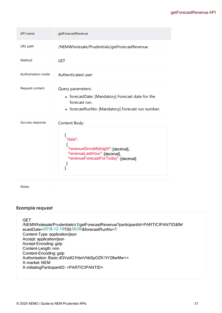| API name           | getForecastRevenue                                                                                                                               |
|--------------------|--------------------------------------------------------------------------------------------------------------------------------------------------|
| URL path           | /NEMWholesale/Prudentials/getForecastRevenue                                                                                                     |
| Method             | <b>GET</b>                                                                                                                                       |
| Authorisation mode | Authenticated user                                                                                                                               |
| Request content    | Query parameters:<br>• forecastDate: [Mandatory] Forecast date for the<br>forecast run.<br>• forecastRunNo: [Mandatory] Forecast run number.     |
| Success response   | Content Body:<br>"data"<br>"revenueSinceMidnight": [decimal],<br>"revenueLastHour": [decimal],<br>"revenueForecastForToday": [decimal]<br>}<br>} |
| <b>Notes</b>       |                                                                                                                                                  |

### **Example request**

**GET** /NEMWholesale/Prudentials/v1/getForecastRevenue?participantId=PARTICIPANTID&for ecastDate=2018-12-19T00:00:00&forecastRunNo=5 Content-Type: application/json Accept: application/json Accept-Encoding: gzip Content-Length: nnn Content-Encoding: gzip Authorisation: Basic dGVzdG1hbnVhbSpOZK1tY28wMw== X-market: NEM X-initiatingParticipantID: <PARTICIPANTID>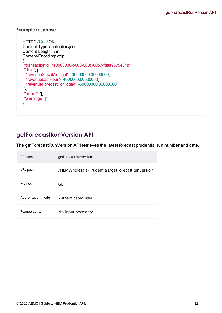### **Example response**

```
HTTP/1.1 200 OK 
Content-Type: application/json 
Content-Length: nnn 
Content-Encoding: gzip 
{
 "transactionId": "e0000000-b000-000c-00b7-fd8a9575e84b",
 "data": {
 "revenueSinceMidnight": -30000000.00000000,
 "revenueLastHour": -4000000.00000000,
 "revenueForecastForToday": -50000000.00000000
  },
 "errors": [],
 "warnings": []
}
```
# <span id="page-31-0"></span>**getForecastRunVersion API**

The getForecastRunVersion API retrieves the latest forecast prudential run number and date.

| API name           | getForecastRunVersion                           |
|--------------------|-------------------------------------------------|
| URL path           | /NEMWholesale/Prudentials/getForecastRunVersion |
| Method             | GET                                             |
| Authorisation mode | Authenticated user                              |
| Request content    | No input necessary                              |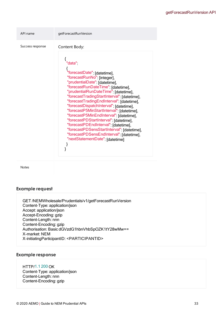| Success response<br>Content Body:                                                                                                                                                                                                                                                                                                                                                                                                                                                                                                                                                                                             | API name | getForecastRunVersion |
|-------------------------------------------------------------------------------------------------------------------------------------------------------------------------------------------------------------------------------------------------------------------------------------------------------------------------------------------------------------------------------------------------------------------------------------------------------------------------------------------------------------------------------------------------------------------------------------------------------------------------------|----------|-----------------------|
| "data"<br>"forecastDate": [datetime],<br>"forecastRunNo": [integer],<br>"prudentialDate": [datetime],<br>"forecastRunDateTime": [datetime],<br>"prudentialRunDateTime": [datetime],<br>"forecastTradingStartInterval" [datetime],<br>"forecastTradingEndInterval": [datetime],<br>"forecastDispatchInterval": [datetime],<br>"forecastP5MinStartInterval": [datetime],<br>"forecastP5MinEndInterval": [datetime],<br>"forecastPDStartInterval": [datetime],<br>"forecastPDEndInterval" [datetime],<br>"forecastPDSensStartInterval" [datetime],<br>"forecastPDSensEndInterval" [datetime],<br>"nextStatementDate": [datetime] |          |                       |

Notes

### **Example request**

GET /NEMWholesale/Prudentials/v1/getForecastRunVersion Content-Type: application/json Accept: application/json Accept-Encoding: gzip Content-Length: nnn Content-Encoding: gzip Authorisation: Basic dGVzdG1hbnVhbSpOZK1tY28wMw== X-market: NEM X-initiatingParticipantID: <PARTICIPANTID>

### **Example response**

## HTTP/1.1 200 OK

Content-Type: application/json Content-Length: nnn Content-Encoding: gzip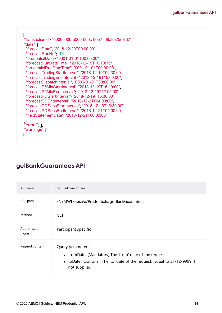```
{
 "transactionId": "e0000000-b000-000c-00b7-fd8a9575e84b",
 "data": {
 "forecastDate" "2018-12-20T00:00:00"
 "forecastRunNo": 196,
 "prudentialDate": "0001-01-01T00:00:00",
 "forecastRunDateTime": "2018-12-19T16:10:15",
 "prudentialRunDateTime": "0001-01-01T00:00:00",
  "forecastTradingStartInterval": "2018-12-19T00:30:00",
  "forecastTradingEndInterval": "2018-12-19T16:00:00",
 "forecastDispatchInterval": "0001-01-01T00:00:00",
  "forecastP5MinStartInterval": "2018-12-19T16:10:00",
  "forecastP5MinEndInterval": "2018-12-19T17:05:00",
 "forecastPDStartInterval": "2018-12-19T16:30:00",
 "forecastPDEndInterval": "2018-12-21T04:00:00",
  "forecastPDSensStartInterval": "2018-12-19T16:30:00",
  "forecastPDSensEndInterval": "2018-12-21T04:00:00",
 "nextStatementDate": "2018-12-21T00:00:00"
  },
 "errors": [],
 "warnings": []
}
```
## <span id="page-33-0"></span>**getBankGuarantees API**

| API name              | getBankGuarantees                                                                                                                                                           |
|-----------------------|-----------------------------------------------------------------------------------------------------------------------------------------------------------------------------|
| URL path              | /NEMWholesale/Prudentials/getBankGuarantees                                                                                                                                 |
| Method                | GET                                                                                                                                                                         |
| Authorisation<br>mode | Participant specific                                                                                                                                                        |
| Request content       | Query parameters:<br>• from Date: [Mandatory] The 'from' date of the request.<br>• toDate: [Optional] The 'to' date of the request. Equal to 31-12-9999 if<br>not supplied. |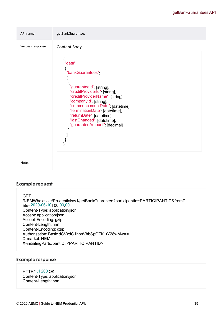

Notes

### **Example request**

**GET** 

/NEMWholesale/Prudentials/v1/getBankGuarantee?participantId=PARTICIPANTID&fromD ate=2020-06-10T00:00:00 Content-Type: application/json Accept: application/json Accept-Encoding: gzip Content-Length: nnn Content-Encoding: gzip Authorisation: Basic dGVzdG1hbnVhbSpOZK1tY28wMw== X-market: NEM X-initiatingParticipantID: <PARTICIPANTID>

### **Example response**

HTTP/1.1 200 OK Content-Type: application/json Content-Length: nnn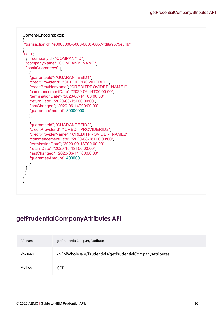```
Content-Encoding: gzip 
{
 "transactionId": "e0000000-b000-000c-00b7-fd8a9575e84b",
{ 
"data"
  {    "companyId": "COMPANYID", 
  "companyName": "COMPANY_NAME", 
  "bankGuarantees" |
    \overline{i}"guaranteeId": "GUARANTEEID1", 
   "creditProviderId": "CREDITPROVIDERID1", 
    "creditProviderName": "CREDITPROVIDER_NAME1", 
    "commencementDate": "2020-06-14T00:00:00", 
   "terminationDate": "2020-07-14T00:00:00", 
   "returnDate": "2020-08-15T00:00:00", 
    "lastChanged": "2020-06-14T00:00:00", 
    "guaranteeAmount": 30000000
           },             
    { 
    "guaranteeId": "GUARANTEEID2", 
    "creditProviderId": " CREDITPROVIDERID2",
   "creditProviderName": " CREDITPROVIDER NAME2"
    "commencementDate": "2020-08-18T00:00:00", 
    "terminationDate": "2020-09-18T00:00:00", 
   "returnDate" "2020-10-18T00:00:00"
   "lastChanged": "2020-06-14T00:00:00", 
    "guaranteeAmount" 400000
           } 
     ] 
    } 
}
}
```
# <span id="page-35-0"></span>**getPrudentialCompanyAttributes API**

| API name | getPrudentialCompanyAttributes                           |
|----------|----------------------------------------------------------|
| URL path | /NEMWholesale/Prudentials/getPrudentialCompanyAttributes |
| Method   | GET                                                      |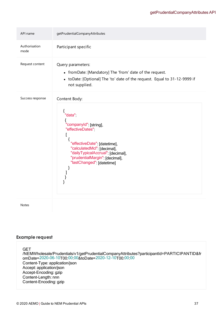| API name              | getPrudentialCompanyAttributes                                                                                                                                                                                                                         |
|-----------------------|--------------------------------------------------------------------------------------------------------------------------------------------------------------------------------------------------------------------------------------------------------|
| Authorisation<br>mode | Participant specific                                                                                                                                                                                                                                   |
| Request content       | Query parameters:<br>• fromDate: [Mandatory] The 'from' date of the request.<br>• toDate: [Optional] The 'to' date of the request. Equal to 31-12-9999 if<br>not supplied.                                                                             |
| Success response      | Content Body:<br>"data"<br>"companyId": [string],<br>"effectiveDates"<br>l<br>"effectiveDate": [datetime],<br>"calculatedMcl" [decimal],<br>"dailyTypicalAccrual": [decimal],<br>"prudentialMargin": [decimal],<br>"lastChanged": [datetime]<br>ا<br>{ |
| <b>Notes</b>          |                                                                                                                                                                                                                                                        |

### **Example request**

GET /NEMWholesale/Prudentials/v1/getPrudentialCompanyAttributes?participantId=PARTICIPANTID&fr omDate=2020-06-10T00:00:00&toDate=2020-12-10T00:00:00 Content-Type: application/json Accept: application/json Accept-Encoding: gzip Content-Length: nnn Content-Encoding: gzip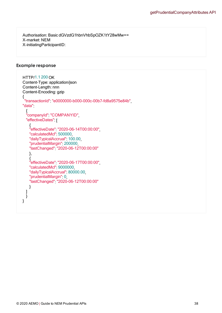Authorisation: Basic dGVzdG1hbnVhbSpOZK1tY28wMw== X-market: NEM X-initiatingParticipantID:

### **Example response**

```
HTTP/1.1 200 OK 
Content-Type: application/json 
Content-Length: nnn 
Content-Encoding: gzip 
{
 "transactionId": "e0000000-b000-000c-00b7-fd8a9575e84b",
"data"
  { 
  "companyId": "COMPANYID", 
  "effectiveDates" |
    { 
    "effectiveDate": "2020-06-14T00:00:00", 
    "calculatedMcl": 500000, 
    "dailyTypicalAccrual": 100.00, 
    "prudentialMargin": 200000, 
    "lastChanged": "2020-06-12T00:00:00"
           },
    { 
    "effectiveDate": "2020-06-17T00:00:00", 
    "calculatedMcl": 9000000, 
    "dailyTypicalAccrual": 80000.00, 
    "prudentialMargin": 0, 
    "lastChanged": "2020-06-12T00:00:00"
           } 
     ] 
     }
}
```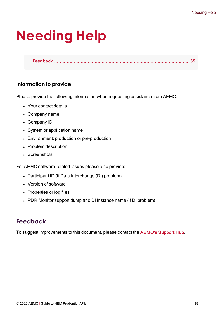# <span id="page-38-0"></span>**Needing Help**

**[Feedback](#page-38-1) [39](#page-38-1)**

## **Information to provide**

Please provide the following information when requesting assistance from AEMO:

- Your contact details
- Company name
- Company ID
- System or application name
- Environment: production or pre-production
- Problem description
- Screenshots

For AEMO software-related issues please also provide:

- Participant ID (if Data Interchange (DI) problem)
- Version of software
- Properties or log files
- PDR Monitor support dump and DI instance name (if DI problem)

# <span id="page-38-1"></span>**Feedback**

To suggest improvements to this document, please contact the [AEMO's](mailto:supporthub@aemo.com.au?subject=Feedback) Support Hub.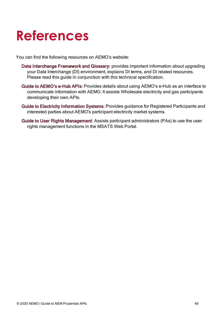# <span id="page-39-0"></span>**References**

You can find the following resources on AEMO's website:

- Data Interchange Framework and Glossary: provides important information about upgrading your Data Interchange (DI) environment, explains DI terms, and DI related resources. Please read this guide in conjunction with this technical specification.
- Guide to AEMO's e-Hub APIs: Provides details about using AEMO's e-Hub as an interface to communicate information with AEMO. It assists Wholesale electricity and gas participants developing their own APIs.
- Guide to Electricity Information Systems: Provides guidance for Registered Participants and interested parties about AEMO's participant electricity market systems.
- Guide to User Rights Management: Assists participant administrators (PAs) to use the user rights management functions in the MSATS Web Portal.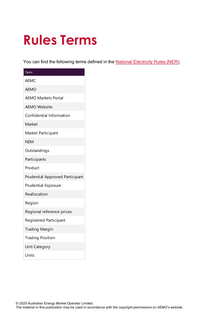# <span id="page-40-0"></span>**Rules Terms**

You can find the following terms defined in the National [Electricity](https://www.aemc.gov.au/regulation/energy-rules/national-electricity-rules/current) Rules (NER):

| Term                                   |
|----------------------------------------|
| <b>AEMC</b>                            |
| <b>AEMO</b>                            |
| <b>AEMO Markets Portal</b>             |
| <b>AEMO Website</b>                    |
| Confidential Information               |
| Market                                 |
| Market Participant                     |
| <b>NEM</b>                             |
| Outstandings                           |
| Participants                           |
| Product                                |
| <b>Prudential Approved Participant</b> |
| <b>Prudential Exposure</b>             |
| Reallocation                           |
| Region                                 |
| Regional reference prices              |
| <b>Registered Participant</b>          |
| <b>Trading Margin</b>                  |
| <b>Trading Position</b>                |
| <b>Unit Category</b>                   |
| Units                                  |

© 2020 Australian Energy Market Operator Limited.

The material in this publication may be used in accordance with the copyright permissions on AEMO's website.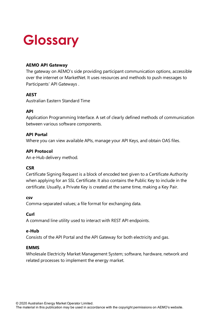# <span id="page-41-0"></span>**Glossary**

## **AEMO API Gateway**

The gateway on AEMO's side providing participant communication options, accessible over the internet or MarketNet. It uses resources and methods to push messages to Participants' API Gateways .

### **AEST**

Australian Eastern Standard Time

### **API**

Application Programming Interface. A set of clearly defined methods of communication between various software components.

### **API Portal**

Where you can view available APIs, manage your API Keys, and obtain OAS files.

### **API Protocol**

An e-Hub delivery method.

### **CSR**

Certificate Signing Request is a block of encoded text given to a Certificate Authority when applying for an SSL Certificate. It also contains the Public Key to include in the certificate. Usually, a Private Key is created at the same time, making a Key Pair.

### **csv**

Comma-separated values; a file format for exchanging data.

### **Curl**

A command line utility used to interact with REST API endpoints.

### **e-Hub**

Consists of the API Portal and the API Gateway for both electricity and gas.

### **EMMS**

Wholesale Electricity Market Management System; software, hardware, network and related processes to implement the energy market.

© 2020 Australian Energy Market Operator Limited.

The material in this publication may be used in accordance with the copyright permissions on AEMO's website.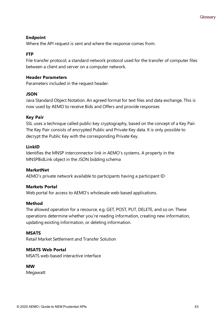### **Endpoint**

Where the API request is sent and where the response comes from.

## **FTP**

File transfer protocol; a standard network protocol used for the transfer of computer files between a client and server on a computer network.

### **Header Parameters**

Parameters included in the request header.

### **JSON**

Java Standard Object Notation. An agreed format for text files and data exchange. This is now used by AEMO to receive Bids and Offers and provide responses

### **Key Pair**

SSL uses a technique called public-key cryptography, based on the concept of a Key Pair. The Key Pair consists of encrypted Public and Private Key data. It is only possible to decrypt the Public Key with the corresponding Private Key.

### **LinkID**

Identifies the MNSP interconnector link in AEMO's systems. A property in the MNSPBidLink object in the JSON bidding schema

### **MarketNet**

AEMO's private network available to participants having a participant ID

### **Markets Portal**

Web portal for access to AEMO's wholesale web-based applications.

### **Method**

The allowed operation for a resource, e.g. GET, POST, PUT, DELETE, and so on. These operations determine whether you're reading information, creating new information, updating existing information, or deleting information.

### **MSATS**

Retail Market Settlement and Transfer Solution

### **MSATS Web Portal**

MSATS web-based interactive interface

### **MW**

Megawatt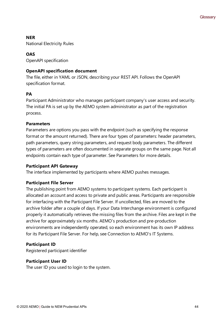### **NER**

National Electricity Rules

## **OAS**

OpenAPI specification

### **OpenAPI specification document**

The file, either in YAML or JSON, describing your REST API. Follows the OpenAPI specification format.

### **PA**

Participant Administrator who manages participant company's user access and security. The initial PA is set up by the AEMO system administrator as part of the registration process.

### **Parameters**

Parameters are options you pass with the endpoint (such as specifying the response format or the amount returned). There are four types of parameters: header parameters, path parameters, query string parameters, and request body parameters. The different types of parameters are often documented in separate groups on the same page. Not all endpoints contain each type of parameter. See Parameters for more details.

### **Participant API Gateway**

The interface implemented by participants where AEMO pushes messages.

### **Participant File Server**

The publishing point from AEMO systems to participant systems. Each participant is allocated an account and access to private and public areas. Participants are responsible for interfacing with the Participant File Server. If uncollected, files are moved to the archive folder after a couple of days. If your Data Interchange environment is configured properly it automatically retrieves the missing files from the archive. Files are kept in the archive for approximately six months. AEMO's production and pre-production environments are independently operated, so each environment has its own IP address for its Participant File Server. For help, see Connection to AEMO's IT Systems.

### **Participant ID**

Registered participant identifier

### **Participant User ID**

The user ID you used to login to the system.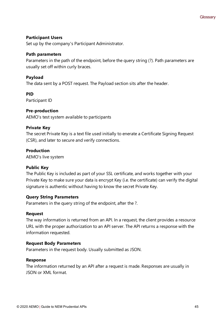### **Participant Users**

Set up by the company's Participant Administrator.

### **Path parameters**

Parameters in the path of the endpoint, before the query string (?). Path parameters are usually set off within curly braces.

### **Payload**

The data sent by a POST request. The Payload section sits after the header.

### **PID**

Participant ID

### **Pre-production**

AEMO's test system available to participants

### **Private Key**

The secret Private Key is a text file used initially to enerate a Certificate Signing Request (CSR), and later to secure and verify connections.

### **Production**

AEMO's live system

### **Public Key**

The Public Key is included as part of your SSL certificate, and works together with your Private Key to make sure your data is encrypt Key (i.e. the certificate) can verify the digital signature is authentic without having to know the secret Private Key.

### **Query String Parameters**

Parameters in the query string of the endpoint, after the ?.

### **Request**

The way information is returned from an API. In a request, the client provides a resource URL with the proper authorization to an API server. The API returns a response with the information requested.

### **Request Body Parameters**

Parameters in the request body. Usually submitted as JSON.

### **Response**

The information returned by an API after a request is made. Responses are usually in JSON or XML format.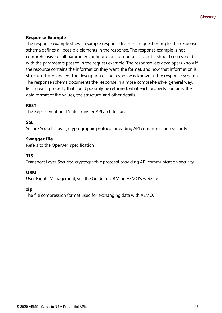### **Response Example**

The response example shows a sample response from the request example; the response schema defines all possible elements in the response. The response example is not comprehensive of all parameter configurations or operations, but it should correspond with the parameters passed in the request example. The response lets developers know if the resource contains the information they want, the format, and how that information is structured and labeled. The description of the response is known as the response schema. The response schema documents the response in a more comprehensive, general way, listing each property that could possibly be returned, what each property contains, the data format of the values, the structure, and other details.

### **REST**

The Representational State Transfer API architecture

### **SSL**

Secure Sockets Layer, cryptographic protocol providing API communication security

### **Swagger file**

Refers to the OpenAPI specification

## **TLS**

Transport Layer Security, cryptographic protocol providing API communication security

### **URM**

User Rights Management; see the Guide to URM on AEMO's website

### **zip**

The file compression format used for exchanging data with AEMO.